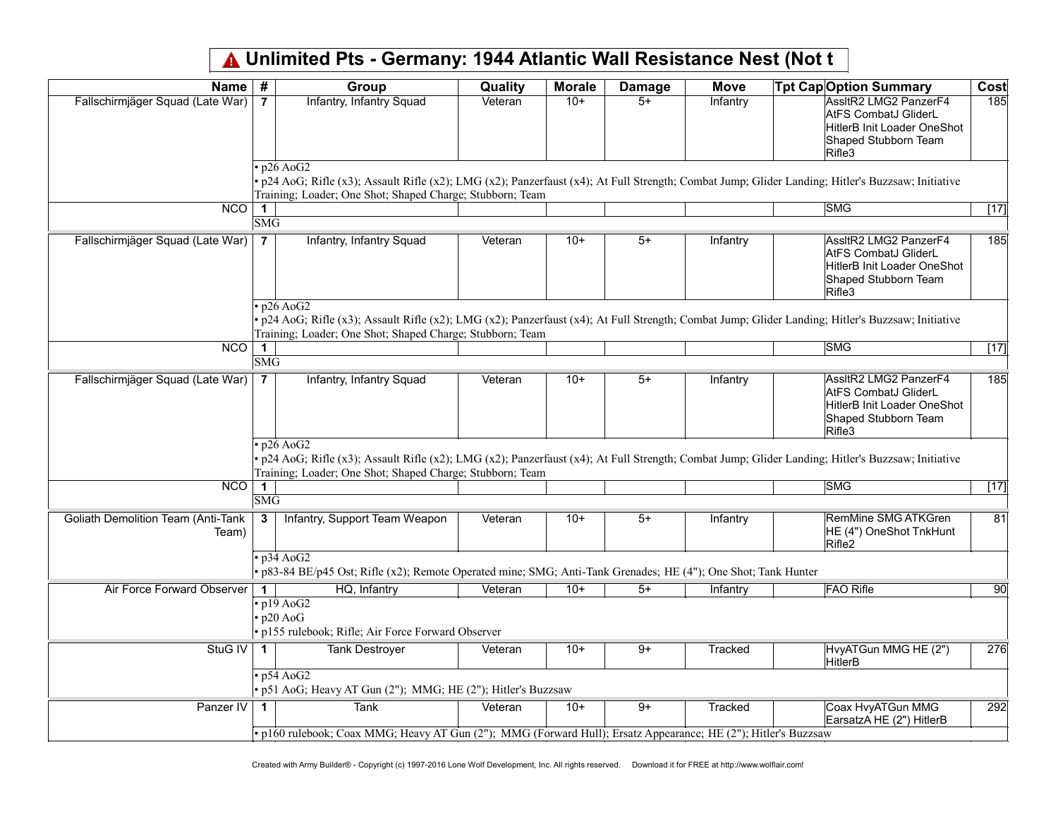## Unlimited Pts - Germany: 1944 Atlantic Wall Resistance Nest (Not t

| <b>Name</b>                                        | #                                               | Group                                                                                                          | Quality | <b>Morale</b> | <b>Damage</b>   | <b>Move</b>    | <b>Tpt Cap Option Summary</b>                                                                                                                      | Cost            |
|----------------------------------------------------|-------------------------------------------------|----------------------------------------------------------------------------------------------------------------|---------|---------------|-----------------|----------------|----------------------------------------------------------------------------------------------------------------------------------------------------|-----------------|
| Fallschirmjäger Squad (Late War)                   | $\overline{7}$                                  | Infantry, Infantry Squad                                                                                       | Veteran | $10+$         | $5+$            | Infantry       | AssltR2 LMG2 PanzerF4<br><b>AtFS CombatJ GliderL</b><br>HitlerB Init Loader OneShot<br>Shaped Stubborn Team<br>Rifle3                              | 185             |
|                                                    |                                                 | $\cdot$ p26 AoG2                                                                                               |         |               |                 |                | . p24 AoG; Rifle (x3); Assault Rifle (x2); LMG (x2); Panzerfaust (x4); At Full Strength; Combat Jump; Glider Landing; Hitler's Buzzsaw; Initiative |                 |
|                                                    |                                                 | Training; Loader; One Shot; Shaped Charge; Stubborn; Team                                                      |         |               |                 |                |                                                                                                                                                    |                 |
| $\overline{NCO}$                                   |                                                 |                                                                                                                |         |               |                 |                | <b>SMG</b>                                                                                                                                         | $[17]$          |
|                                                    | $\overline{\text{SMG}}$                         |                                                                                                                |         |               |                 |                |                                                                                                                                                    |                 |
| Fallschirmjäger Squad (Late War)                   | $\overline{7}$                                  | Infantry, Infantry Squad                                                                                       | Veteran | $10+$         | $5+$            | Infantry       | AssltR2 LMG2 PanzerF4<br><b>AtFS CombatJ GliderL</b><br>HitlerB Init Loader OneShot<br>Shaped Stubborn Team<br>Rifle3                              | 185             |
|                                                    |                                                 | $\cdot$ p26 AoG2                                                                                               |         |               |                 |                |                                                                                                                                                    |                 |
|                                                    |                                                 |                                                                                                                |         |               |                 |                | · p24 AoG; Rifle (x3); Assault Rifle (x2); LMG (x2); Panzerfaust (x4); At Full Strength; Combat Jump; Glider Landing; Hitler's Buzzsaw; Initiative |                 |
| $\overline{\text{NCO}}$                            |                                                 | Training; Loader; One Shot; Shaped Charge; Stubborn; Team                                                      |         |               |                 |                | <b>SMG</b>                                                                                                                                         |                 |
|                                                    | $\blacktriangleleft$<br>$\overline{\text{SMG}}$ |                                                                                                                |         |               |                 |                |                                                                                                                                                    | [17]            |
| Fallschirmjäger Squad (Late War)                   | $\overline{7}$                                  | Infantry, Infantry Squad                                                                                       | Veteran | $10+$         | $5+$            | Infantry       | AssltR2 LMG2 PanzerF4<br><b>AtFS CombatJ GliderL</b><br>HitlerB Init Loader OneShot<br>Shaped Stubborn Team<br>Rifle3                              | 185             |
|                                                    |                                                 | $\cdot$ p26 AoG2                                                                                               |         |               |                 |                |                                                                                                                                                    |                 |
|                                                    |                                                 | Training; Loader; One Shot; Shaped Charge; Stubborn; Team                                                      |         |               |                 |                | p24 AoG; Rifle (x3); Assault Rifle (x2); LMG (x2); Panzerfaust (x4); At Full Strength; Combat Jump; Glider Landing; Hitler's Buzzsaw; Initiative   |                 |
| NCO                                                | $\mathbf 1$                                     |                                                                                                                |         |               |                 |                | <b>SMG</b>                                                                                                                                         | [17]            |
|                                                    | <b>SMG</b>                                      |                                                                                                                |         |               |                 |                |                                                                                                                                                    |                 |
| <b>Goliath Demolition Team (Anti-Tank</b><br>Team) | 3                                               | Infantry, Support Team Weapon                                                                                  | Veteran | $10+$         | $\overline{5+}$ | Infantry       | <b>RemMine SMG ATKGren</b><br>HE (4") OneShot TnkHunt<br>Rifle <sub>2</sub>                                                                        | $\overline{81}$ |
|                                                    |                                                 | $\cdot$ p34 AoG2                                                                                               |         |               |                 |                |                                                                                                                                                    |                 |
|                                                    |                                                 | · p83-84 BE/p45 Ost; Rifle (x2); Remote Operated mine; SMG; Anti-Tank Grenades; HE (4"); One Shot; Tank Hunter |         |               |                 |                |                                                                                                                                                    |                 |
| Air Force Forward Observer                         | $\mathbf 1$                                     | HQ, Infantry                                                                                                   | Veteran | $10+$         | $5+$            | Infantry       | <b>FAO Rifle</b>                                                                                                                                   | 90              |
|                                                    |                                                 | $\cdot$ p19 AoG2<br>$\cdot$ p20 AoG<br>· p155 rulebook; Rifle; Air Force Forward Observer                      |         |               |                 |                |                                                                                                                                                    |                 |
| StuG IV                                            | $\blacktriangleleft$                            | <b>Tank Destroyer</b>                                                                                          | Veteran | $10+$         | $\overline{9+}$ | Tracked        | HvyATGun MMG HE (2")<br>HitlerB                                                                                                                    | 276             |
|                                                    |                                                 | $\cdot$ p54 AoG2<br>· p51 AoG; Heavy AT Gun (2"); MMG; HE (2"); Hitler's Buzzsaw                               |         |               |                 |                |                                                                                                                                                    |                 |
| Panzer IV                                          |                                                 | Tank                                                                                                           | Veteran | $10+$         | $9+$            | <b>Tracked</b> | Coax HvyATGun MMG<br>EarsatzA HE (2") HitlerB                                                                                                      | 292             |
|                                                    |                                                 | · p160 rulebook; Coax MMG; Heavy AT Gun (2"); MMG (Forward Hull); Ersatz Appearance; HE (2"); Hitler's Buzzsaw |         |               |                 |                |                                                                                                                                                    |                 |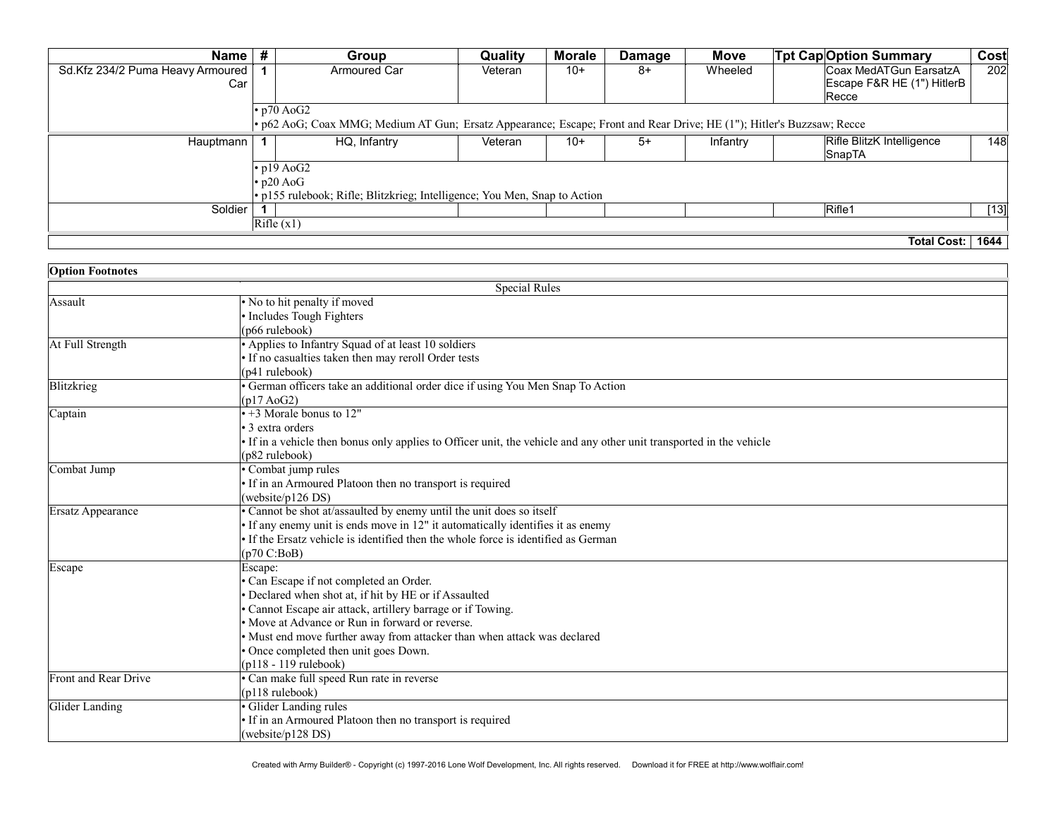| <b>Name</b>                      | # | Group                                                                                                                 | <b>Quality</b> | <b>Morale</b> | <b>Damage</b> | <b>Move</b> | <b>Tpt Cap</b> Option Summary    | Cost   |
|----------------------------------|---|-----------------------------------------------------------------------------------------------------------------------|----------------|---------------|---------------|-------------|----------------------------------|--------|
| Sd.Kfz 234/2 Puma Heavy Armoured |   | Armoured Car                                                                                                          | Veteran        | $10+$         | -8            | Wheeled     | Coax MedATGun EarsatzA           | 202    |
| Car                              |   |                                                                                                                       |                |               |               |             | Escape F&R HE (1") HitlerB       |        |
|                                  |   |                                                                                                                       |                |               |               |             | Recce                            |        |
|                                  |   | $\cdot$ p70 AoG2                                                                                                      |                |               |               |             |                                  |        |
|                                  |   | • p62 AoG; Coax MMG; Medium AT Gun; Ersatz Appearance; Escape; Front and Rear Drive; HE (1"); Hitler's Buzzsaw; Recce |                |               |               |             |                                  |        |
| Hauptmann                        |   | HQ, Infantry                                                                                                          | Veteran        | $10+$         | $5+$          | Infantry    | <b>Rifle BlitzK Intelligence</b> | 148    |
|                                  |   |                                                                                                                       |                |               |               |             | SnapTA                           |        |
|                                  |   | $\cdot$ p19 AoG2                                                                                                      |                |               |               |             |                                  |        |
|                                  |   | $\cdot$ p20 AoG                                                                                                       |                |               |               |             |                                  |        |
|                                  |   | · p155 rulebook; Rifle; Blitzkrieg; Intelligence; You Men, Snap to Action                                             |                |               |               |             |                                  |        |
| Soldier                          |   |                                                                                                                       |                |               |               |             | Riff                             | $[13]$ |
|                                  |   | Rifle (x1)                                                                                                            |                |               |               |             |                                  |        |
|                                  |   |                                                                                                                       |                |               |               |             | Total Cost:                      | 1644   |

| <b>Option Footnotes</b> |                                                                                                                         |
|-------------------------|-------------------------------------------------------------------------------------------------------------------------|
|                         | <b>Special Rules</b>                                                                                                    |
| Assault                 | $\cdot$ No to hit penalty if moved                                                                                      |
|                         | • Includes Tough Fighters                                                                                               |
|                         | (p66 rulebook)                                                                                                          |
| At Full Strength        | • Applies to Infantry Squad of at least 10 soldiers                                                                     |
|                         | • If no casualties taken then may reroll Order tests                                                                    |
|                         | (p41 rulebook)                                                                                                          |
| Blitzkrieg              | • German officers take an additional order dice if using You Men Snap To Action<br>(p17 A <sub>0</sub> G <sub>2</sub> ) |
| Captain                 | $\cdot$ +3 Morale bonus to 12"                                                                                          |
|                         | $\cdot$ 3 extra orders                                                                                                  |
|                         | • If in a vehicle then bonus only applies to Officer unit, the vehicle and any other unit transported in the vehicle    |
|                         | (p82 rulebook)                                                                                                          |
| Combat Jump             | • Combat jump rules                                                                                                     |
|                         | • If in an Armoured Platoon then no transport is required                                                               |
|                         | (website/p126 DS)                                                                                                       |
| Ersatz Appearance       | • Cannot be shot at/assaulted by enemy until the unit does so itself                                                    |
|                         | $\cdot$ If any enemy unit is ends move in 12" it automatically identifies it as enemy                                   |
|                         | $\cdot$ If the Ersatz vehicle is identified then the whole force is identified as German                                |
|                         | (p70 C:BoB)                                                                                                             |
| Escape                  | Escape:                                                                                                                 |
|                         | • Can Escape if not completed an Order.                                                                                 |
|                         | • Declared when shot at, if hit by HE or if Assaulted                                                                   |
|                         | · Cannot Escape air attack, artillery barrage or if Towing.                                                             |
|                         | • Move at Advance or Run in forward or reverse.                                                                         |
|                         | • Must end move further away from attacker than when attack was declared                                                |
|                         | · Once completed then unit goes Down.                                                                                   |
|                         | (p118 - 119 rulebook)                                                                                                   |
| Front and Rear Drive    | • Can make full speed Run rate in reverse                                                                               |
|                         | $(p118 \text{ rulebook})$                                                                                               |
| Glider Landing          | Glider Landing rules                                                                                                    |
|                         | • If in an Armoured Platoon then no transport is required                                                               |
|                         | (website/p128 DS)                                                                                                       |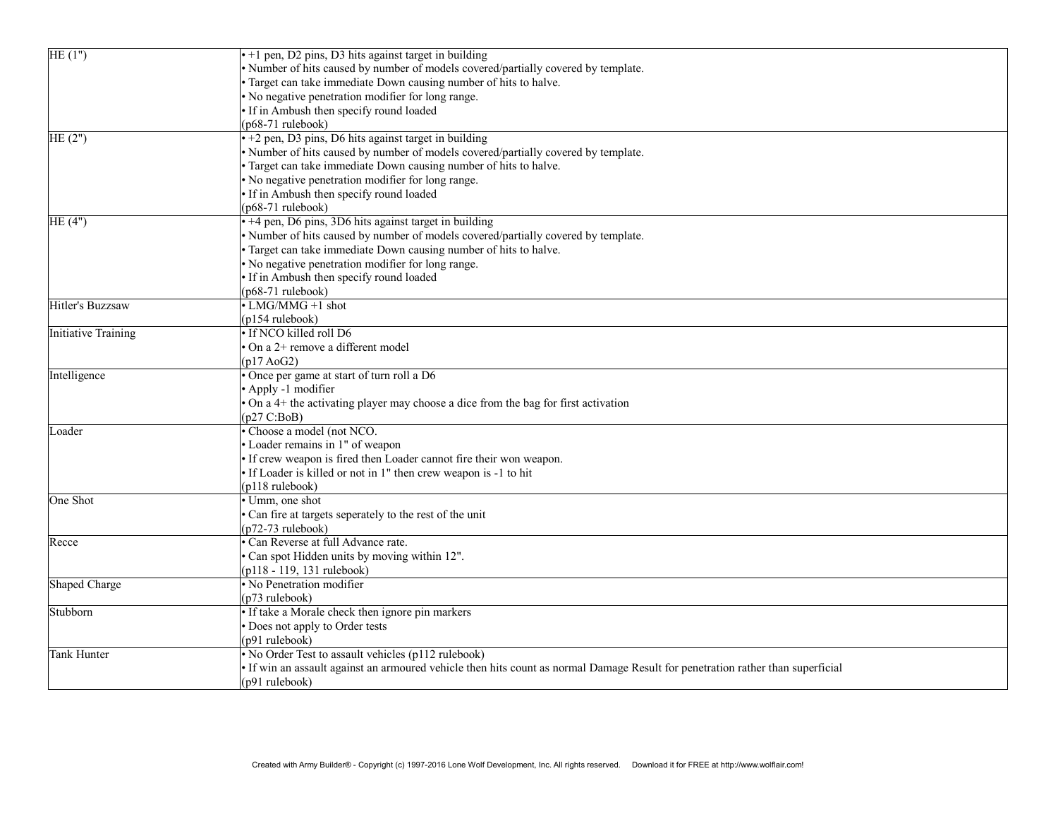| HE(1")              | $\cdot$ +1 pen, D2 pins, D3 hits against target in building                                                                     |
|---------------------|---------------------------------------------------------------------------------------------------------------------------------|
|                     | · Number of hits caused by number of models covered/partially covered by template.                                              |
|                     | Target can take immediate Down causing number of hits to halve.                                                                 |
|                     | No negative penetration modifier for long range.                                                                                |
|                     | · If in Ambush then specify round loaded                                                                                        |
|                     | $(p68-71$ rulebook)                                                                                                             |
| HE(2")              | $\cdot$ +2 pen, D3 pins, D6 hits against target in building                                                                     |
|                     | • Number of hits caused by number of models covered/partially covered by template.                                              |
|                     | Target can take immediate Down causing number of hits to halve.                                                                 |
|                     | • No negative penetration modifier for long range.                                                                              |
|                     | • If in Ambush then specify round loaded                                                                                        |
|                     | (p68-71 rulebook)                                                                                                               |
| HE(4")              | $\cdot$ +4 pen, D6 pins, 3D6 hits against target in building                                                                    |
|                     | · Number of hits caused by number of models covered/partially covered by template.                                              |
|                     | Target can take immediate Down causing number of hits to halve.                                                                 |
|                     | No negative penetration modifier for long range.                                                                                |
|                     | If in Ambush then specify round loaded                                                                                          |
|                     | $(p68-71$ rulebook)                                                                                                             |
| Hitler's Buzzsaw    | $\cdot$ LMG/MMG +1 shot                                                                                                         |
|                     | $(p154 \text{ rulebook})$                                                                                                       |
| Initiative Training | · If NCO killed roll D6                                                                                                         |
|                     | On a 2+ remove a different model                                                                                                |
|                     | $(p17 \text{ AoG2})$                                                                                                            |
| Intelligence        | • Once per game at start of turn roll a D6                                                                                      |
|                     | • Apply -1 modifier                                                                                                             |
|                     | On a 4+ the activating player may choose a dice from the bag for first activation                                               |
|                     | (p27 C:BoB)                                                                                                                     |
| Loader              | • Choose a model (not NCO.                                                                                                      |
|                     | · Loader remains in 1" of weapon                                                                                                |
|                     | If crew weapon is fired then Loader cannot fire their won weapon.                                                               |
|                     | · If Loader is killed or not in 1" then crew weapon is -1 to hit                                                                |
|                     | (p118 rulebook)                                                                                                                 |
| One Shot            | • Umm, one shot                                                                                                                 |
|                     | Can fire at targets seperately to the rest of the unit                                                                          |
|                     | $(p72-73$ rulebook)                                                                                                             |
| Recce               | • Can Reverse at full Advance rate.                                                                                             |
|                     | Can spot Hidden units by moving within 12".                                                                                     |
|                     | (p118 - 119, 131 rulebook)                                                                                                      |
| Shaped Charge       | • No Penetration modifier                                                                                                       |
|                     | (p73 rulebook)                                                                                                                  |
| Stubborn            | • If take a Morale check then ignore pin markers                                                                                |
|                     | Does not apply to Order tests                                                                                                   |
|                     | (p91 rulebook)                                                                                                                  |
| Tank Hunter         | • No Order Test to assault vehicles (p112 rulebook)                                                                             |
|                     | . If win an assault against an armoured vehicle then hits count as normal Damage Result for penetration rather than superficial |
|                     |                                                                                                                                 |
|                     | (p91 rulebook)                                                                                                                  |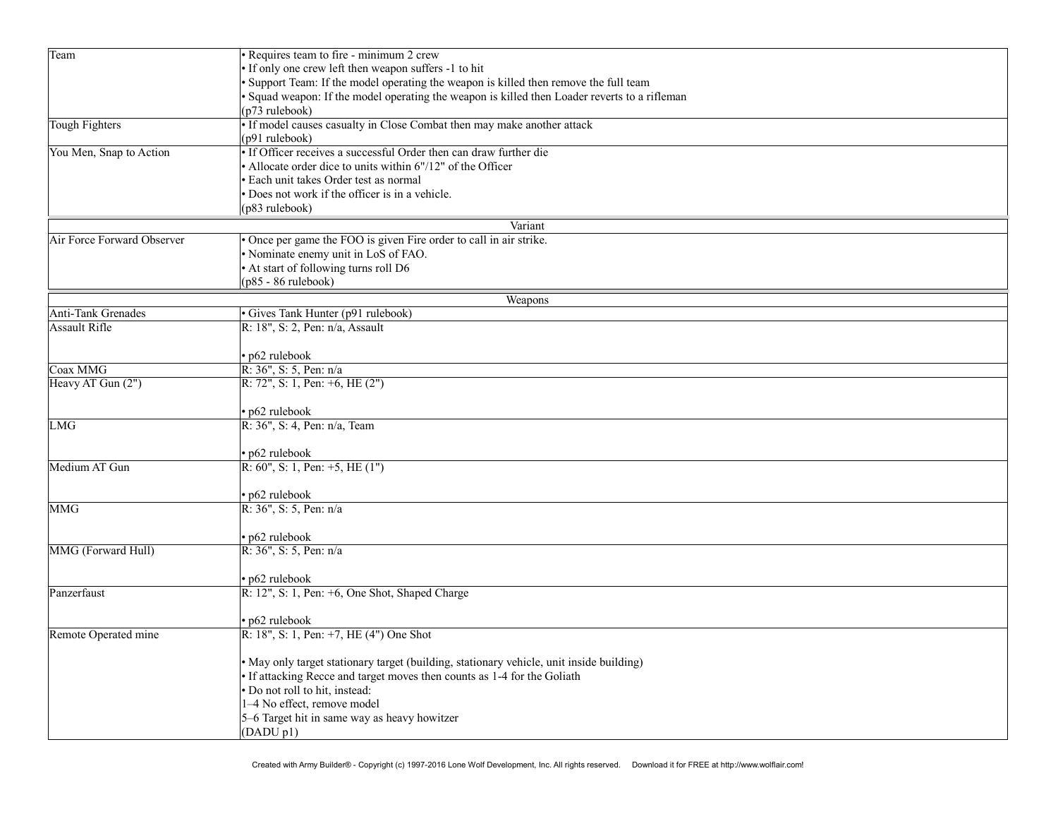| · Support Team: If the model operating the weapon is killed then remove the full team<br>· Squad weapon: If the model operating the weapon is killed then Loader reverts to a rifleman<br>$(p73$ rulebook)<br>• If model causes casualty in Close Combat then may make another attack<br><b>Tough Fighters</b><br>(p91 rulebook)<br>• If Officer receives a successful Order then can draw further die<br>You Men, Snap to Action<br>• Allocate order dice to units within 6"/12" of the Officer<br>· Each unit takes Order test as normal<br>• Does not work if the officer is in a vehicle.<br>(p83 rulebook)<br>Variant<br>Air Force Forward Observer<br>• Once per game the FOO is given Fire order to call in air strike.<br>• Nominate enemy unit in LoS of FAO.<br>• At start of following turns roll D6<br>$(p85 - 86$ rulebook)<br>Weapons<br><b>Anti-Tank Grenades</b><br>· Gives Tank Hunter (p91 rulebook)<br><b>Assault Rifle</b><br>R: 18", S: 2, Pen: n/a, Assault<br>• p62 rulebook<br>R: 36", S: 5, Pen: n/a<br>Coax MMG<br>Heavy AT Gun (2")<br>R: 72", S: 1, Pen: $+6$ , HE $(2")$<br>• p62 rulebook<br>R: 36", S: 4, Pen: n/a, Team<br><b>LMG</b><br>• p62 rulebook<br>R: 60", S: 1, Pen: $+5$ , HE $(1")$<br>Medium AT Gun<br>• p62 rulebook<br><b>MMG</b><br>R: 36", S: 5, Pen: n/a<br>• p62 rulebook<br>MMG (Forward Hull)<br>R: 36", S: 5, Pen: n/a<br>• p62 rulebook<br>R: 12", S: 1, Pen: +6, One Shot, Shaped Charge<br>Panzerfaust<br>• p62 rulebook<br>R: 18", S: 1, Pen: +7, HE (4") One Shot<br>Remote Operated mine<br>· May only target stationary target (building, stationary vehicle, unit inside building)<br>• If attacking Recce and target moves then counts as 1-4 for the Goliath<br>· Do not roll to hit, instead:<br>1-4 No effect, remove model<br>5-6 Target hit in same way as heavy howitzer<br>(DADU p1) | Team | · Requires team to fire - minimum 2 crew              |  |  |  |  |  |
|-----------------------------------------------------------------------------------------------------------------------------------------------------------------------------------------------------------------------------------------------------------------------------------------------------------------------------------------------------------------------------------------------------------------------------------------------------------------------------------------------------------------------------------------------------------------------------------------------------------------------------------------------------------------------------------------------------------------------------------------------------------------------------------------------------------------------------------------------------------------------------------------------------------------------------------------------------------------------------------------------------------------------------------------------------------------------------------------------------------------------------------------------------------------------------------------------------------------------------------------------------------------------------------------------------------------------------------------------------------------------------------------------------------------------------------------------------------------------------------------------------------------------------------------------------------------------------------------------------------------------------------------------------------------------------------------------------------------------------------------------------------------------------------------------------------------------------------------------------------|------|-------------------------------------------------------|--|--|--|--|--|
|                                                                                                                                                                                                                                                                                                                                                                                                                                                                                                                                                                                                                                                                                                                                                                                                                                                                                                                                                                                                                                                                                                                                                                                                                                                                                                                                                                                                                                                                                                                                                                                                                                                                                                                                                                                                                                                           |      | . If only one crew left then weapon suffers -1 to hit |  |  |  |  |  |
|                                                                                                                                                                                                                                                                                                                                                                                                                                                                                                                                                                                                                                                                                                                                                                                                                                                                                                                                                                                                                                                                                                                                                                                                                                                                                                                                                                                                                                                                                                                                                                                                                                                                                                                                                                                                                                                           |      |                                                       |  |  |  |  |  |
|                                                                                                                                                                                                                                                                                                                                                                                                                                                                                                                                                                                                                                                                                                                                                                                                                                                                                                                                                                                                                                                                                                                                                                                                                                                                                                                                                                                                                                                                                                                                                                                                                                                                                                                                                                                                                                                           |      |                                                       |  |  |  |  |  |
|                                                                                                                                                                                                                                                                                                                                                                                                                                                                                                                                                                                                                                                                                                                                                                                                                                                                                                                                                                                                                                                                                                                                                                                                                                                                                                                                                                                                                                                                                                                                                                                                                                                                                                                                                                                                                                                           |      |                                                       |  |  |  |  |  |
|                                                                                                                                                                                                                                                                                                                                                                                                                                                                                                                                                                                                                                                                                                                                                                                                                                                                                                                                                                                                                                                                                                                                                                                                                                                                                                                                                                                                                                                                                                                                                                                                                                                                                                                                                                                                                                                           |      |                                                       |  |  |  |  |  |
|                                                                                                                                                                                                                                                                                                                                                                                                                                                                                                                                                                                                                                                                                                                                                                                                                                                                                                                                                                                                                                                                                                                                                                                                                                                                                                                                                                                                                                                                                                                                                                                                                                                                                                                                                                                                                                                           |      |                                                       |  |  |  |  |  |
|                                                                                                                                                                                                                                                                                                                                                                                                                                                                                                                                                                                                                                                                                                                                                                                                                                                                                                                                                                                                                                                                                                                                                                                                                                                                                                                                                                                                                                                                                                                                                                                                                                                                                                                                                                                                                                                           |      |                                                       |  |  |  |  |  |
|                                                                                                                                                                                                                                                                                                                                                                                                                                                                                                                                                                                                                                                                                                                                                                                                                                                                                                                                                                                                                                                                                                                                                                                                                                                                                                                                                                                                                                                                                                                                                                                                                                                                                                                                                                                                                                                           |      |                                                       |  |  |  |  |  |
|                                                                                                                                                                                                                                                                                                                                                                                                                                                                                                                                                                                                                                                                                                                                                                                                                                                                                                                                                                                                                                                                                                                                                                                                                                                                                                                                                                                                                                                                                                                                                                                                                                                                                                                                                                                                                                                           |      |                                                       |  |  |  |  |  |
|                                                                                                                                                                                                                                                                                                                                                                                                                                                                                                                                                                                                                                                                                                                                                                                                                                                                                                                                                                                                                                                                                                                                                                                                                                                                                                                                                                                                                                                                                                                                                                                                                                                                                                                                                                                                                                                           |      |                                                       |  |  |  |  |  |
|                                                                                                                                                                                                                                                                                                                                                                                                                                                                                                                                                                                                                                                                                                                                                                                                                                                                                                                                                                                                                                                                                                                                                                                                                                                                                                                                                                                                                                                                                                                                                                                                                                                                                                                                                                                                                                                           |      |                                                       |  |  |  |  |  |
|                                                                                                                                                                                                                                                                                                                                                                                                                                                                                                                                                                                                                                                                                                                                                                                                                                                                                                                                                                                                                                                                                                                                                                                                                                                                                                                                                                                                                                                                                                                                                                                                                                                                                                                                                                                                                                                           |      |                                                       |  |  |  |  |  |
|                                                                                                                                                                                                                                                                                                                                                                                                                                                                                                                                                                                                                                                                                                                                                                                                                                                                                                                                                                                                                                                                                                                                                                                                                                                                                                                                                                                                                                                                                                                                                                                                                                                                                                                                                                                                                                                           |      |                                                       |  |  |  |  |  |
|                                                                                                                                                                                                                                                                                                                                                                                                                                                                                                                                                                                                                                                                                                                                                                                                                                                                                                                                                                                                                                                                                                                                                                                                                                                                                                                                                                                                                                                                                                                                                                                                                                                                                                                                                                                                                                                           |      |                                                       |  |  |  |  |  |
|                                                                                                                                                                                                                                                                                                                                                                                                                                                                                                                                                                                                                                                                                                                                                                                                                                                                                                                                                                                                                                                                                                                                                                                                                                                                                                                                                                                                                                                                                                                                                                                                                                                                                                                                                                                                                                                           |      |                                                       |  |  |  |  |  |
|                                                                                                                                                                                                                                                                                                                                                                                                                                                                                                                                                                                                                                                                                                                                                                                                                                                                                                                                                                                                                                                                                                                                                                                                                                                                                                                                                                                                                                                                                                                                                                                                                                                                                                                                                                                                                                                           |      |                                                       |  |  |  |  |  |
|                                                                                                                                                                                                                                                                                                                                                                                                                                                                                                                                                                                                                                                                                                                                                                                                                                                                                                                                                                                                                                                                                                                                                                                                                                                                                                                                                                                                                                                                                                                                                                                                                                                                                                                                                                                                                                                           |      |                                                       |  |  |  |  |  |
|                                                                                                                                                                                                                                                                                                                                                                                                                                                                                                                                                                                                                                                                                                                                                                                                                                                                                                                                                                                                                                                                                                                                                                                                                                                                                                                                                                                                                                                                                                                                                                                                                                                                                                                                                                                                                                                           |      |                                                       |  |  |  |  |  |
|                                                                                                                                                                                                                                                                                                                                                                                                                                                                                                                                                                                                                                                                                                                                                                                                                                                                                                                                                                                                                                                                                                                                                                                                                                                                                                                                                                                                                                                                                                                                                                                                                                                                                                                                                                                                                                                           |      |                                                       |  |  |  |  |  |
|                                                                                                                                                                                                                                                                                                                                                                                                                                                                                                                                                                                                                                                                                                                                                                                                                                                                                                                                                                                                                                                                                                                                                                                                                                                                                                                                                                                                                                                                                                                                                                                                                                                                                                                                                                                                                                                           |      |                                                       |  |  |  |  |  |
|                                                                                                                                                                                                                                                                                                                                                                                                                                                                                                                                                                                                                                                                                                                                                                                                                                                                                                                                                                                                                                                                                                                                                                                                                                                                                                                                                                                                                                                                                                                                                                                                                                                                                                                                                                                                                                                           |      |                                                       |  |  |  |  |  |
|                                                                                                                                                                                                                                                                                                                                                                                                                                                                                                                                                                                                                                                                                                                                                                                                                                                                                                                                                                                                                                                                                                                                                                                                                                                                                                                                                                                                                                                                                                                                                                                                                                                                                                                                                                                                                                                           |      |                                                       |  |  |  |  |  |
|                                                                                                                                                                                                                                                                                                                                                                                                                                                                                                                                                                                                                                                                                                                                                                                                                                                                                                                                                                                                                                                                                                                                                                                                                                                                                                                                                                                                                                                                                                                                                                                                                                                                                                                                                                                                                                                           |      |                                                       |  |  |  |  |  |
|                                                                                                                                                                                                                                                                                                                                                                                                                                                                                                                                                                                                                                                                                                                                                                                                                                                                                                                                                                                                                                                                                                                                                                                                                                                                                                                                                                                                                                                                                                                                                                                                                                                                                                                                                                                                                                                           |      |                                                       |  |  |  |  |  |
|                                                                                                                                                                                                                                                                                                                                                                                                                                                                                                                                                                                                                                                                                                                                                                                                                                                                                                                                                                                                                                                                                                                                                                                                                                                                                                                                                                                                                                                                                                                                                                                                                                                                                                                                                                                                                                                           |      |                                                       |  |  |  |  |  |
|                                                                                                                                                                                                                                                                                                                                                                                                                                                                                                                                                                                                                                                                                                                                                                                                                                                                                                                                                                                                                                                                                                                                                                                                                                                                                                                                                                                                                                                                                                                                                                                                                                                                                                                                                                                                                                                           |      |                                                       |  |  |  |  |  |
|                                                                                                                                                                                                                                                                                                                                                                                                                                                                                                                                                                                                                                                                                                                                                                                                                                                                                                                                                                                                                                                                                                                                                                                                                                                                                                                                                                                                                                                                                                                                                                                                                                                                                                                                                                                                                                                           |      |                                                       |  |  |  |  |  |
|                                                                                                                                                                                                                                                                                                                                                                                                                                                                                                                                                                                                                                                                                                                                                                                                                                                                                                                                                                                                                                                                                                                                                                                                                                                                                                                                                                                                                                                                                                                                                                                                                                                                                                                                                                                                                                                           |      |                                                       |  |  |  |  |  |
|                                                                                                                                                                                                                                                                                                                                                                                                                                                                                                                                                                                                                                                                                                                                                                                                                                                                                                                                                                                                                                                                                                                                                                                                                                                                                                                                                                                                                                                                                                                                                                                                                                                                                                                                                                                                                                                           |      |                                                       |  |  |  |  |  |
|                                                                                                                                                                                                                                                                                                                                                                                                                                                                                                                                                                                                                                                                                                                                                                                                                                                                                                                                                                                                                                                                                                                                                                                                                                                                                                                                                                                                                                                                                                                                                                                                                                                                                                                                                                                                                                                           |      |                                                       |  |  |  |  |  |
|                                                                                                                                                                                                                                                                                                                                                                                                                                                                                                                                                                                                                                                                                                                                                                                                                                                                                                                                                                                                                                                                                                                                                                                                                                                                                                                                                                                                                                                                                                                                                                                                                                                                                                                                                                                                                                                           |      |                                                       |  |  |  |  |  |
|                                                                                                                                                                                                                                                                                                                                                                                                                                                                                                                                                                                                                                                                                                                                                                                                                                                                                                                                                                                                                                                                                                                                                                                                                                                                                                                                                                                                                                                                                                                                                                                                                                                                                                                                                                                                                                                           |      |                                                       |  |  |  |  |  |
|                                                                                                                                                                                                                                                                                                                                                                                                                                                                                                                                                                                                                                                                                                                                                                                                                                                                                                                                                                                                                                                                                                                                                                                                                                                                                                                                                                                                                                                                                                                                                                                                                                                                                                                                                                                                                                                           |      |                                                       |  |  |  |  |  |
|                                                                                                                                                                                                                                                                                                                                                                                                                                                                                                                                                                                                                                                                                                                                                                                                                                                                                                                                                                                                                                                                                                                                                                                                                                                                                                                                                                                                                                                                                                                                                                                                                                                                                                                                                                                                                                                           |      |                                                       |  |  |  |  |  |
|                                                                                                                                                                                                                                                                                                                                                                                                                                                                                                                                                                                                                                                                                                                                                                                                                                                                                                                                                                                                                                                                                                                                                                                                                                                                                                                                                                                                                                                                                                                                                                                                                                                                                                                                                                                                                                                           |      |                                                       |  |  |  |  |  |
|                                                                                                                                                                                                                                                                                                                                                                                                                                                                                                                                                                                                                                                                                                                                                                                                                                                                                                                                                                                                                                                                                                                                                                                                                                                                                                                                                                                                                                                                                                                                                                                                                                                                                                                                                                                                                                                           |      |                                                       |  |  |  |  |  |
|                                                                                                                                                                                                                                                                                                                                                                                                                                                                                                                                                                                                                                                                                                                                                                                                                                                                                                                                                                                                                                                                                                                                                                                                                                                                                                                                                                                                                                                                                                                                                                                                                                                                                                                                                                                                                                                           |      |                                                       |  |  |  |  |  |
|                                                                                                                                                                                                                                                                                                                                                                                                                                                                                                                                                                                                                                                                                                                                                                                                                                                                                                                                                                                                                                                                                                                                                                                                                                                                                                                                                                                                                                                                                                                                                                                                                                                                                                                                                                                                                                                           |      |                                                       |  |  |  |  |  |
|                                                                                                                                                                                                                                                                                                                                                                                                                                                                                                                                                                                                                                                                                                                                                                                                                                                                                                                                                                                                                                                                                                                                                                                                                                                                                                                                                                                                                                                                                                                                                                                                                                                                                                                                                                                                                                                           |      |                                                       |  |  |  |  |  |
|                                                                                                                                                                                                                                                                                                                                                                                                                                                                                                                                                                                                                                                                                                                                                                                                                                                                                                                                                                                                                                                                                                                                                                                                                                                                                                                                                                                                                                                                                                                                                                                                                                                                                                                                                                                                                                                           |      |                                                       |  |  |  |  |  |
|                                                                                                                                                                                                                                                                                                                                                                                                                                                                                                                                                                                                                                                                                                                                                                                                                                                                                                                                                                                                                                                                                                                                                                                                                                                                                                                                                                                                                                                                                                                                                                                                                                                                                                                                                                                                                                                           |      |                                                       |  |  |  |  |  |
|                                                                                                                                                                                                                                                                                                                                                                                                                                                                                                                                                                                                                                                                                                                                                                                                                                                                                                                                                                                                                                                                                                                                                                                                                                                                                                                                                                                                                                                                                                                                                                                                                                                                                                                                                                                                                                                           |      |                                                       |  |  |  |  |  |
|                                                                                                                                                                                                                                                                                                                                                                                                                                                                                                                                                                                                                                                                                                                                                                                                                                                                                                                                                                                                                                                                                                                                                                                                                                                                                                                                                                                                                                                                                                                                                                                                                                                                                                                                                                                                                                                           |      |                                                       |  |  |  |  |  |
|                                                                                                                                                                                                                                                                                                                                                                                                                                                                                                                                                                                                                                                                                                                                                                                                                                                                                                                                                                                                                                                                                                                                                                                                                                                                                                                                                                                                                                                                                                                                                                                                                                                                                                                                                                                                                                                           |      |                                                       |  |  |  |  |  |
|                                                                                                                                                                                                                                                                                                                                                                                                                                                                                                                                                                                                                                                                                                                                                                                                                                                                                                                                                                                                                                                                                                                                                                                                                                                                                                                                                                                                                                                                                                                                                                                                                                                                                                                                                                                                                                                           |      |                                                       |  |  |  |  |  |
|                                                                                                                                                                                                                                                                                                                                                                                                                                                                                                                                                                                                                                                                                                                                                                                                                                                                                                                                                                                                                                                                                                                                                                                                                                                                                                                                                                                                                                                                                                                                                                                                                                                                                                                                                                                                                                                           |      |                                                       |  |  |  |  |  |
|                                                                                                                                                                                                                                                                                                                                                                                                                                                                                                                                                                                                                                                                                                                                                                                                                                                                                                                                                                                                                                                                                                                                                                                                                                                                                                                                                                                                                                                                                                                                                                                                                                                                                                                                                                                                                                                           |      |                                                       |  |  |  |  |  |
|                                                                                                                                                                                                                                                                                                                                                                                                                                                                                                                                                                                                                                                                                                                                                                                                                                                                                                                                                                                                                                                                                                                                                                                                                                                                                                                                                                                                                                                                                                                                                                                                                                                                                                                                                                                                                                                           |      |                                                       |  |  |  |  |  |